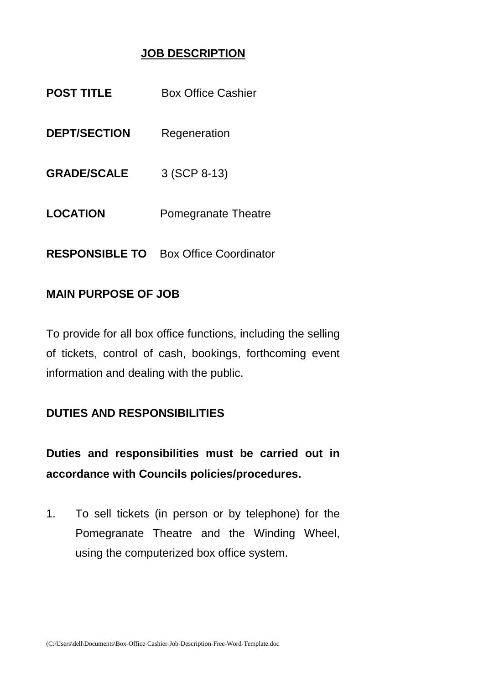## **JOB DESCRIPTION**

| <b>POST TITLE</b>     | <b>Box Office Cashier</b>     |
|-----------------------|-------------------------------|
| <b>DEPT/SECTION</b>   | Regeneration                  |
| <b>GRADE/SCALE</b>    | 3 (SCP 8-13)                  |
| <b>LOCATION</b>       | Pomegranate Theatre           |
| <b>RESPONSIBLE TO</b> | <b>Box Office Coordinator</b> |

#### **MAIN PURPOSE OF JOB**

To provide for all box office functions, including the selling of tickets, control of cash, bookings, forthcoming event information and dealing with the public.

### **DUTIES AND RESPONSIBILITIES**

**Duties and responsibilities must be carried out in accordance with Councils policies/procedures.** 

1. To sell tickets (in person or by telephone) for the Pomegranate Theatre and the Winding Wheel, using the computerized box office system.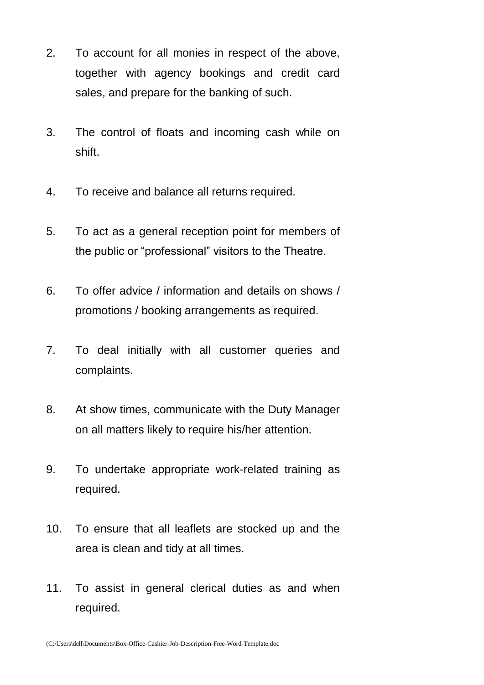- 2. To account for all monies in respect of the above, together with agency bookings and credit card sales, and prepare for the banking of such.
- 3. The control of floats and incoming cash while on shift.
- 4. To receive and balance all returns required.
- 5. To act as a general reception point for members of the public or "professional" visitors to the Theatre.
- 6. To offer advice / information and details on shows / promotions / booking arrangements as required.
- 7. To deal initially with all customer queries and complaints.
- 8. At show times, communicate with the Duty Manager on all matters likely to require his/her attention.
- 9. To undertake appropriate work-related training as required.
- 10. To ensure that all leaflets are stocked up and the area is clean and tidy at all times.
- 11. To assist in general clerical duties as and when required.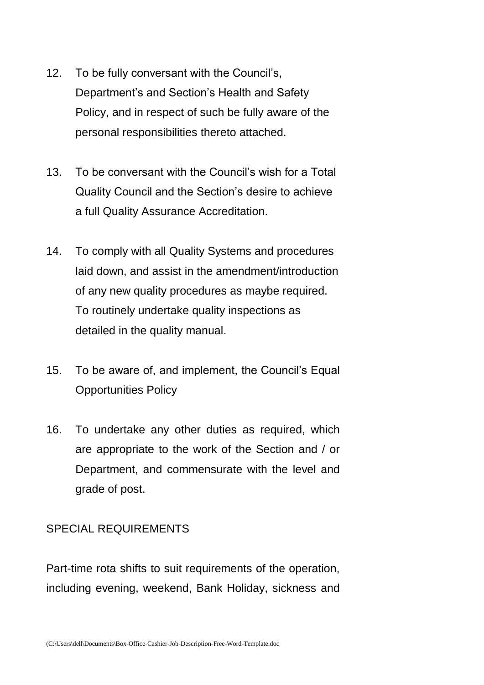- 12. To be fully conversant with the Council's, Department's and Section's Health and Safety Policy, and in respect of such be fully aware of the personal responsibilities thereto attached.
- 13. To be conversant with the Council's wish for a Total Quality Council and the Section's desire to achieve a full Quality Assurance Accreditation.
- 14. To comply with all Quality Systems and procedures laid down, and assist in the amendment/introduction of any new quality procedures as maybe required. To routinely undertake quality inspections as detailed in the quality manual.
- 15. To be aware of, and implement, the Council's Equal Opportunities Policy
- 16. To undertake any other duties as required, which are appropriate to the work of the Section and / or Department, and commensurate with the level and grade of post.

#### SPECIAL REQUIREMENTS

Part-time rota shifts to suit requirements of the operation, including evening, weekend, Bank Holiday, sickness and